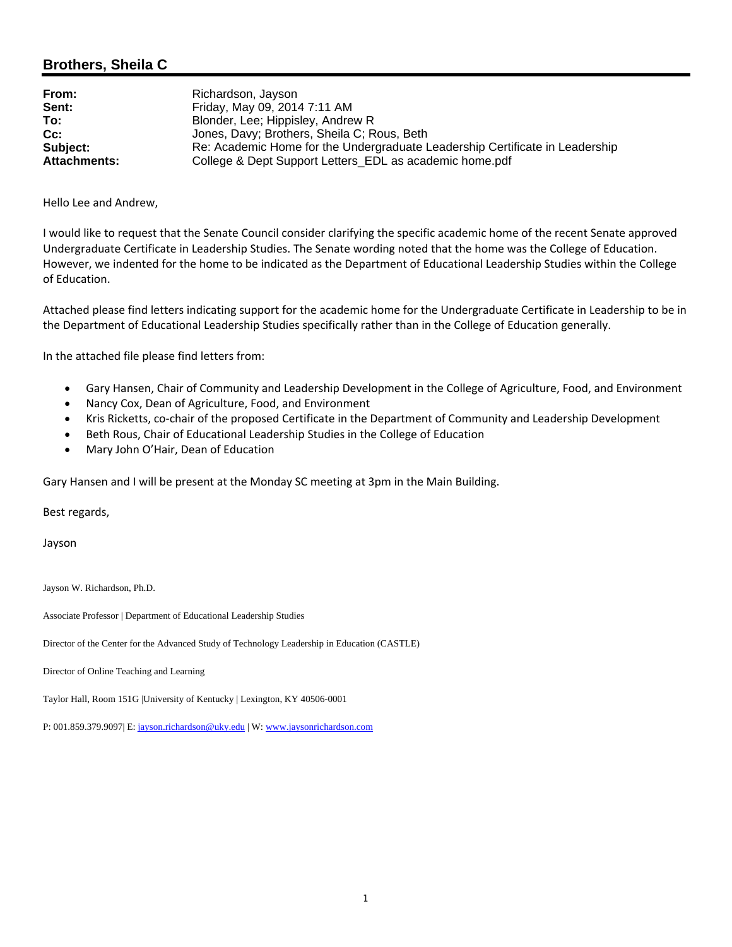## **Brothers, Sheila C**

| From:               | Richardson, Jayson                                                           |
|---------------------|------------------------------------------------------------------------------|
| Sent:               | Friday, May 09, 2014 7:11 AM                                                 |
| To:                 | Blonder, Lee; Hippisley, Andrew R                                            |
| $Cc$ :              | Jones, Davy; Brothers, Sheila C; Rous, Beth                                  |
| Subject:            | Re: Academic Home for the Undergraduate Leadership Certificate in Leadership |
| <b>Attachments:</b> | College & Dept Support Letters_EDL as academic home.pdf                      |

Hello Lee and Andrew,

I would like to request that the Senate Council consider clarifying the specific academic home of the recent Senate approved Undergraduate Certificate in Leadership Studies. The Senate wording noted that the home was the College of Education. However, we indented for the home to be indicated as the Department of Educational Leadership Studies within the College of Education.

Attached please find letters indicating support for the academic home for the Undergraduate Certificate in Leadership to be in the Department of Educational Leadership Studies specifically rather than in the College of Education generally.

In the attached file please find letters from:

- Gary Hansen, Chair of Community and Leadership Development in the College of Agriculture, Food, and Environment
- Nancy Cox, Dean of Agriculture, Food, and Environment
- Kris Ricketts, co‐chair of the proposed Certificate in the Department of Community and Leadership Development
- Beth Rous, Chair of Educational Leadership Studies in the College of Education
- Mary John O'Hair, Dean of Education

Gary Hansen and I will be present at the Monday SC meeting at 3pm in the Main Building.

Best regards,

Jayson

Jayson W. Richardson, Ph.D.

Associate Professor | Department of Educational Leadership Studies

Director of the Center for the Advanced Study of Technology Leadership in Education (CASTLE)

Director of Online Teaching and Learning

Taylor Hall, Room 151G |University of Kentucky | Lexington, KY 40506-0001

P: 001.859.379.9097| E: jayson.richardson@uky.edu | W: www.jaysonrichardson.com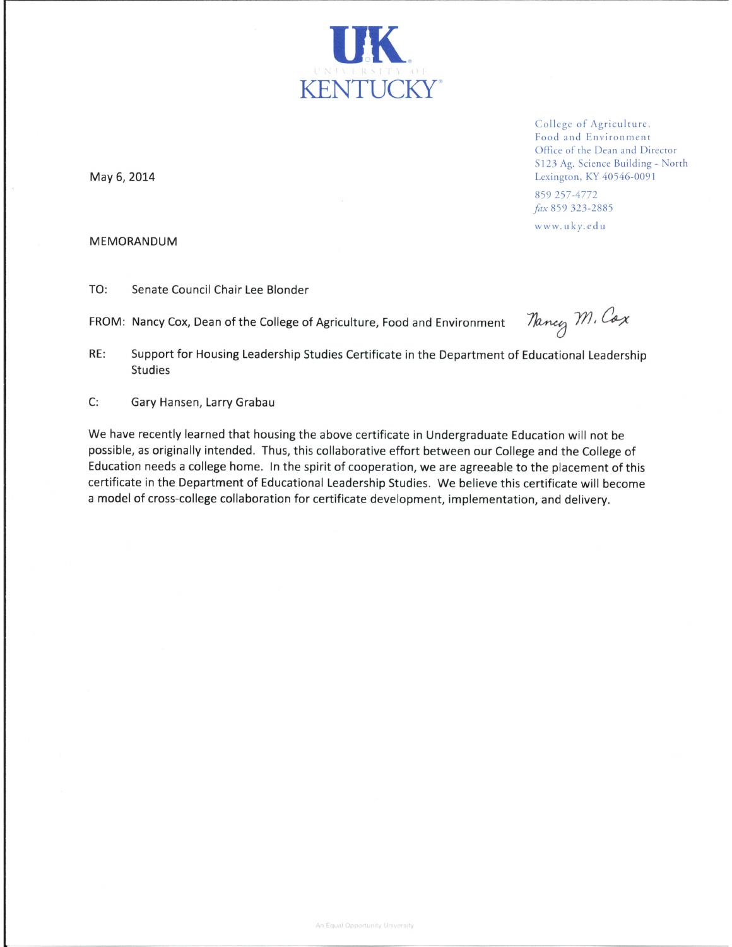

College of Agriculture, Food and Environment Office of the Dean and Director S123 Ag. Science Building - North Lexington, KY 40546-0091

859 257-4772 fax 859 323-2885

www.uky.edu

May 6, 2014

## MEMORANDUM

TO: Senate Council Chair Lee Blonder

FROM: Nancy Cox, Dean of the College of Agriculture, Food and Environment

Nancy M. Cox

Support for Housing Leadership Studies Certificate in the Department of Educational Leadership RE: **Studies** 

C: Gary Hansen, Larry Grabau

We have recently learned that housing the above certificate in Undergraduate Education will not be possible, as originally intended. Thus, this collaborative effort between our College and the College of Education needs a college home. In the spirit of cooperation, we are agreeable to the placement of this certificate in the Department of Educational Leadership Studies. We believe this certificate will become a model of cross-college collaboration for certificate development, implementation, and delivery.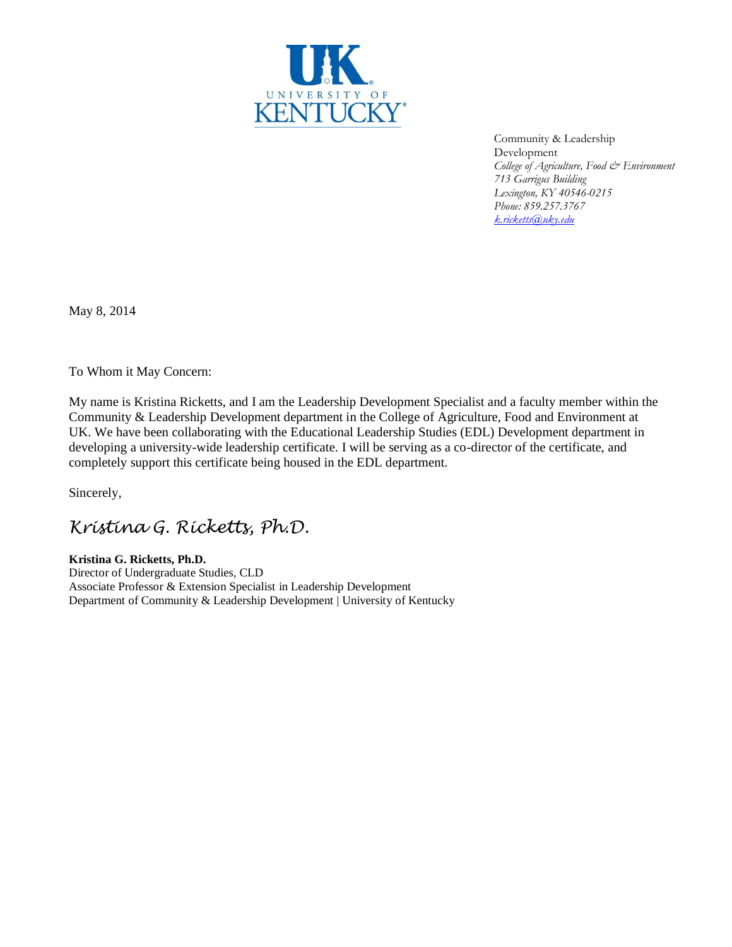

Community & Leadership Development *College of Agriculture, Food & Environment 713 Garrigus Building Lexington, KY 40546-0215 Phone: 859.257.3767 [k.ricketts@uky.edu](mailto:k.ricketts@uky.edu)*

May 8, 2014

To Whom it May Concern:

My name is Kristina Ricketts, and I am the Leadership Development Specialist and a faculty member within the Community & Leadership Development department in the College of Agriculture, Food and Environment at UK. We have been collaborating with the Educational Leadership Studies (EDL) Development department in developing a university-wide leadership certificate. I will be serving as a co-director of the certificate, and completely support this certificate being housed in the EDL department.

Sincerely,

## *Kristina G. Ricketts, Ph.D.*

**Kristina G. Ricketts, Ph.D.**

Director of Undergraduate Studies, CLD Associate Professor & Extension Specialist in Leadership Development Department of Community & Leadership Development | University of Kentucky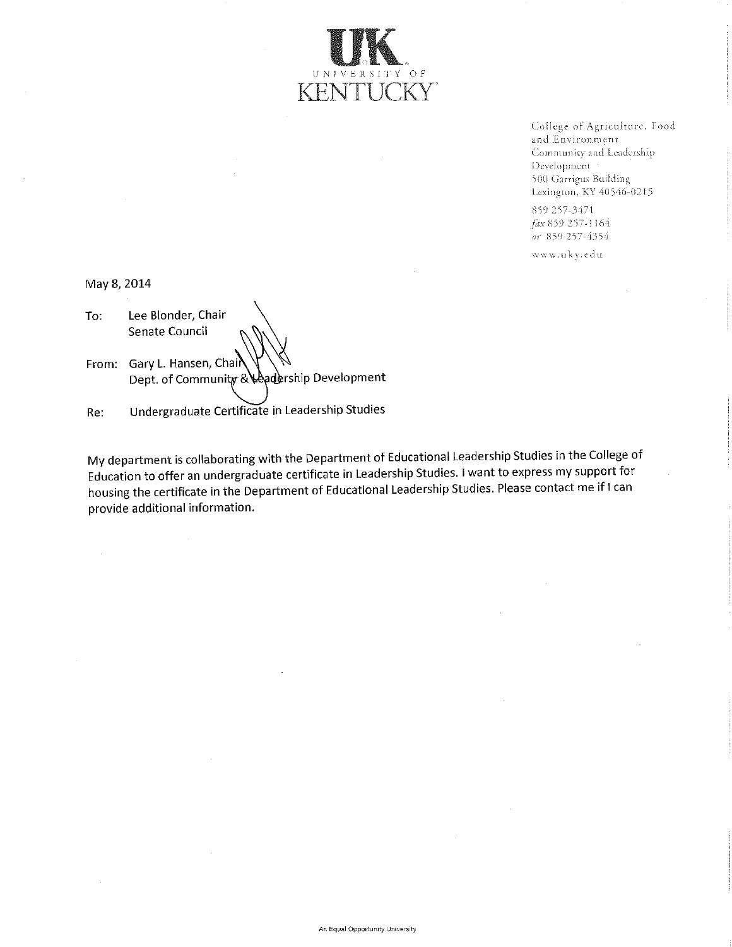

College of Agriculture, Food and Environment Community and Leadership Development 500 Garrigus Building Lexington, KY 40546-0215

859 257-3471 fax 859 257-1164 or 859 257-4354

www.uky.edu

May 8, 2014

Lee Blonder, Chair To: Senate Council

From: Gary L. Hansen, Chair Dept. of Community & Leadership Development

Undergraduate Certificate in Leadership Studies Re:

My department is collaborating with the Department of Educational Leadership Studies in the College of Education to offer an undergraduate certificate in Leadership Studies. I want to express my support for housing the certificate in the Department of Educational Leadership Studies. Please contact me if I can provide additional information.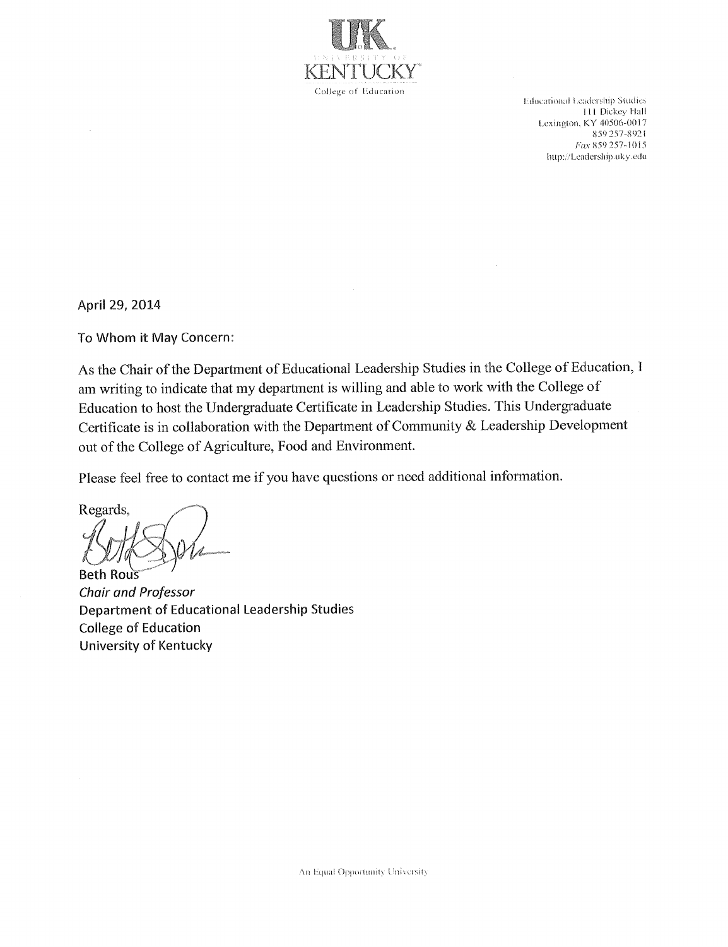

Educational Leadership Studies 111 Dickey Hall Lexington, KY 40506-0017 859 257-8921 Fax 859 257-1015 http://Leadership.uky.edu

April 29, 2014

To Whom it May Concern:

As the Chair of the Department of Educational Leadership Studies in the College of Education, I am writing to indicate that my department is willing and able to work with the College of Education to host the Undergraduate Certificate in Leadership Studies. This Undergraduate Certificate is in collaboration with the Department of Community & Leadership Development out of the College of Agriculture, Food and Environment.

Please feel free to contact me if you have questions or need additional information.

Regards, **Beth Rous** 

**Chair and Professor** Department of Educational Leadership Studies **College of Education University of Kentucky**